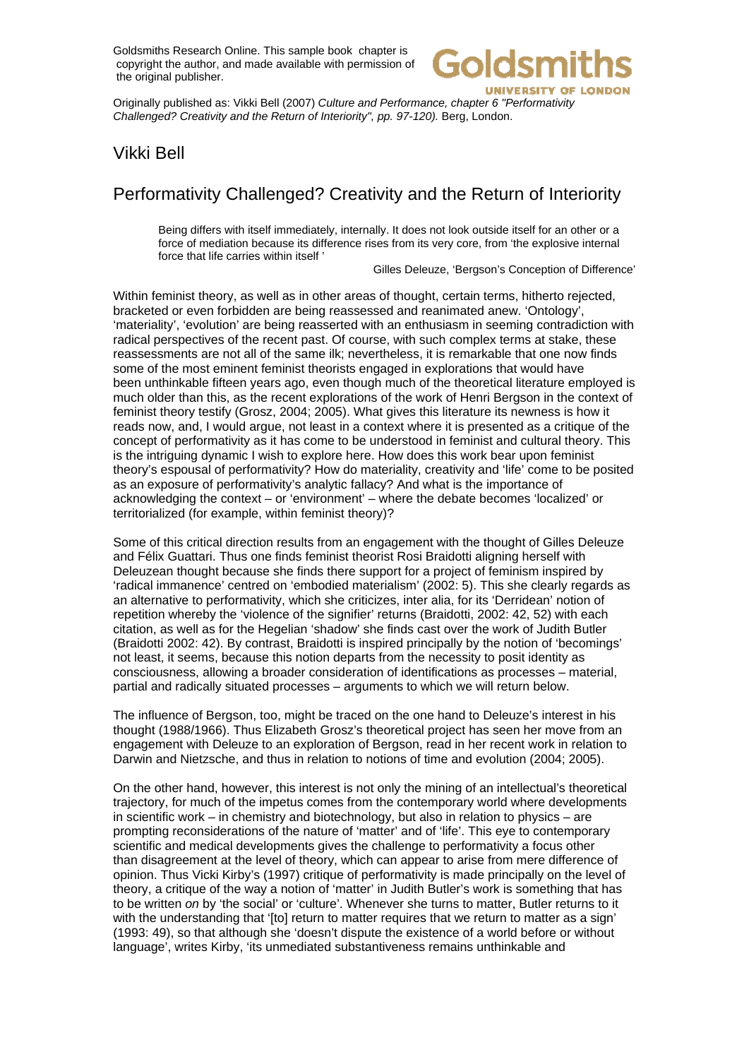

Originally published as: Vikki Bell (2007) *Culture and Performance, chapter 6 "Performativity Challenged? Creativity and the Return of Interiority", pp. 97-120).* Berg, London.

## Vikki Bell

# Performativity Challenged? Creativity and the Return of Interiority

Being differs with itself immediately, internally. It does not look outside itself for an other or a force of mediation because its difference rises from its very core, from 'the explosive internal force that life carries within itself '

Gilles Deleuze, 'Bergson's Conception of Difference'

Within feminist theory, as well as in other areas of thought, certain terms, hitherto rejected, bracketed or even forbidden are being reassessed and reanimated anew. 'Ontology', 'materiality', 'evolution' are being reasserted with an enthusiasm in seeming contradiction with radical perspectives of the recent past. Of course, with such complex terms at stake, these reassessments are not all of the same ilk; nevertheless, it is remarkable that one now finds some of the most eminent feminist theorists engaged in explorations that would have been unthinkable fifteen years ago, even though much of the theoretical literature employed is much older than this, as the recent explorations of the work of Henri Bergson in the context of feminist theory testify (Grosz, 2004; 2005). What gives this literature its newness is how it reads now, and, I would argue, not least in a context where it is presented as a critique of the concept of performativity as it has come to be understood in feminist and cultural theory. This is the intriguing dynamic I wish to explore here. How does this work bear upon feminist theory's espousal of performativity? How do materiality, creativity and 'life' come to be posited as an exposure of performativity's analytic fallacy? And what is the importance of acknowledging the context – or 'environment' – where the debate becomes 'localized' or territorialized (for example, within feminist theory)?

Some of this critical direction results from an engagement with the thought of Gilles Deleuze and Félix Guattari. Thus one finds feminist theorist Rosi Braidotti aligning herself with Deleuzean thought because she finds there support for a project of feminism inspired by 'radical immanence' centred on 'embodied materialism' (2002: 5). This she clearly regards as an alternative to performativity, which she criticizes, inter alia, for its 'Derridean' notion of repetition whereby the 'violence of the signifier' returns (Braidotti, 2002: 42, 52) with each citation, as well as for the Hegelian 'shadow' she finds cast over the work of Judith Butler (Braidotti 2002: 42). By contrast, Braidotti is inspired principally by the notion of 'becomings' not least, it seems, because this notion departs from the necessity to posit identity as consciousness, allowing a broader consideration of identifications as processes – material, partial and radically situated processes – arguments to which we will return below.

The influence of Bergson, too, might be traced on the one hand to Deleuze's interest in his thought (1988/1966). Thus Elizabeth Grosz's theoretical project has seen her move from an engagement with Deleuze to an exploration of Bergson, read in her recent work in relation to Darwin and Nietzsche, and thus in relation to notions of time and evolution (2004; 2005).

On the other hand, however, this interest is not only the mining of an intellectual's theoretical trajectory, for much of the impetus comes from the contemporary world where developments in scientific work – in chemistry and biotechnology, but also in relation to physics – are prompting reconsiderations of the nature of 'matter' and of 'life'. This eye to contemporary scientific and medical developments gives the challenge to performativity a focus other than disagreement at the level of theory, which can appear to arise from mere difference of opinion. Thus Vicki Kirby's (1997) critique of performativity is made principally on the level of theory, a critique of the way a notion of 'matter' in Judith Butler's work is something that has to be written *on* by 'the social' or 'culture'. Whenever she turns to matter, Butler returns to it with the understanding that '[to] return to matter requires that we return to matter as a sign' (1993: 49), so that although she 'doesn't dispute the existence of a world before or without language', writes Kirby, 'its unmediated substantiveness remains unthinkable and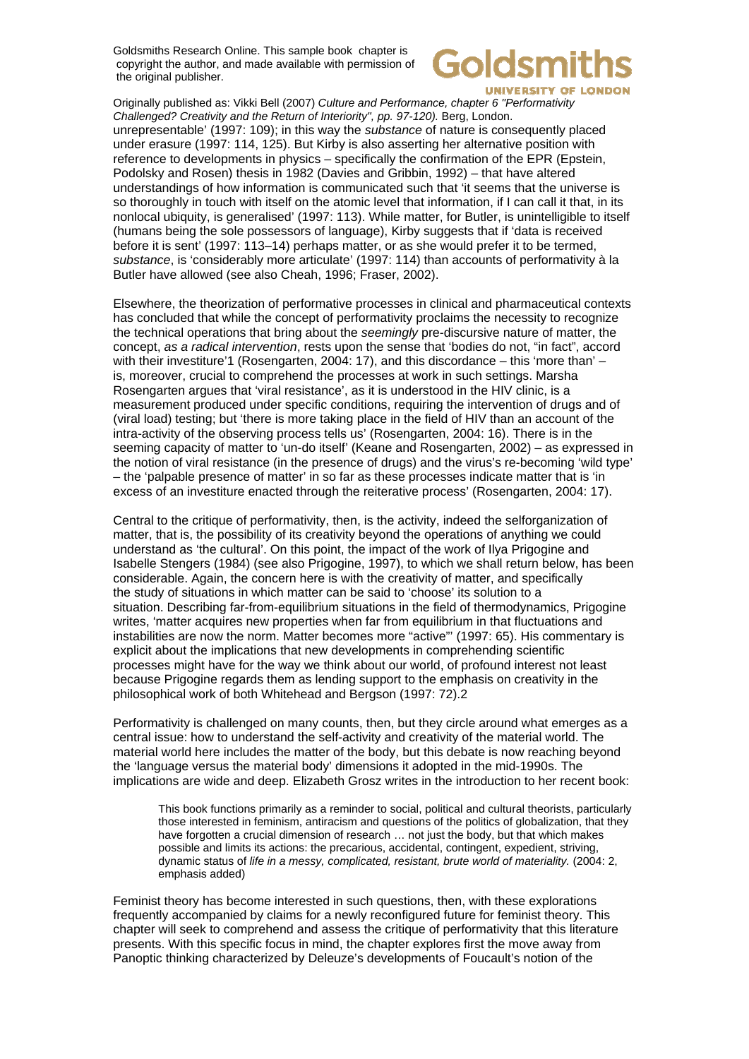

Originally published as: Vikki Bell (2007) *Culture and Performance, chapter 6 "Performativity Challenged? Creativity and the Return of Interiority", pp. 97-120).* Berg, London. unrepresentable' (1997: 109); in this way the *substance* of nature is consequently placed under erasure (1997: 114, 125). But Kirby is also asserting her alternative position with reference to developments in physics – specifically the confirmation of the EPR (Epstein, Podolsky and Rosen) thesis in 1982 (Davies and Gribbin, 1992) – that have altered understandings of how information is communicated such that 'it seems that the universe is so thoroughly in touch with itself on the atomic level that information, if I can call it that, in its nonlocal ubiquity, is generalised' (1997: 113). While matter, for Butler, is unintelligible to itself (humans being the sole possessors of language), Kirby suggests that if 'data is received before it is sent' (1997: 113–14) perhaps matter, or as she would prefer it to be termed, *substance*, is 'considerably more articulate' (1997: 114) than accounts of performativity à la Butler have allowed (see also Cheah, 1996; Fraser, 2002).

Elsewhere, the theorization of performative processes in clinical and pharmaceutical contexts has concluded that while the concept of performativity proclaims the necessity to recognize the technical operations that bring about the *seemingly* pre-discursive nature of matter, the concept, *as a radical intervention*, rests upon the sense that 'bodies do not, "in fact", accord with their investiture'1 (Rosengarten, 2004: 17), and this discordance – this 'more than' – is, moreover, crucial to comprehend the processes at work in such settings. Marsha Rosengarten argues that 'viral resistance', as it is understood in the HIV clinic, is a measurement produced under specific conditions, requiring the intervention of drugs and of (viral load) testing; but 'there is more taking place in the field of HIV than an account of the intra-activity of the observing process tells us' (Rosengarten, 2004: 16). There is in the seeming capacity of matter to 'un-do itself' (Keane and Rosengarten, 2002) – as expressed in the notion of viral resistance (in the presence of drugs) and the virus's re-becoming 'wild type' – the 'palpable presence of matter' in so far as these processes indicate matter that is 'in excess of an investiture enacted through the reiterative process' (Rosengarten, 2004: 17).

Central to the critique of performativity, then, is the activity, indeed the selforganization of matter, that is, the possibility of its creativity beyond the operations of anything we could understand as 'the cultural'. On this point, the impact of the work of Ilya Prigogine and Isabelle Stengers (1984) (see also Prigogine, 1997), to which we shall return below, has been considerable. Again, the concern here is with the creativity of matter, and specifically the study of situations in which matter can be said to 'choose' its solution to a situation. Describing far-from-equilibrium situations in the field of thermodynamics, Prigogine writes, 'matter acquires new properties when far from equilibrium in that fluctuations and instabilities are now the norm. Matter becomes more "active"' (1997: 65). His commentary is explicit about the implications that new developments in comprehending scientific processes might have for the way we think about our world, of profound interest not least because Prigogine regards them as lending support to the emphasis on creativity in the philosophical work of both Whitehead and Bergson (1997: 72).2

Performativity is challenged on many counts, then, but they circle around what emerges as a central issue: how to understand the self-activity and creativity of the material world. The material world here includes the matter of the body, but this debate is now reaching beyond the 'language versus the material body' dimensions it adopted in the mid-1990s. The implications are wide and deep. Elizabeth Grosz writes in the introduction to her recent book:

This book functions primarily as a reminder to social, political and cultural theorists, particularly those interested in feminism, antiracism and questions of the politics of globalization, that they have forgotten a crucial dimension of research … not just the body, but that which makes possible and limits its actions: the precarious, accidental, contingent, expedient, striving, dynamic status of *life in a messy, complicated, resistant, brute world of materiality.* (2004: 2, emphasis added)

Feminist theory has become interested in such questions, then, with these explorations frequently accompanied by claims for a newly reconfigured future for feminist theory. This chapter will seek to comprehend and assess the critique of performativity that this literature presents. With this specific focus in mind, the chapter explores first the move away from Panoptic thinking characterized by Deleuze's developments of Foucault's notion of the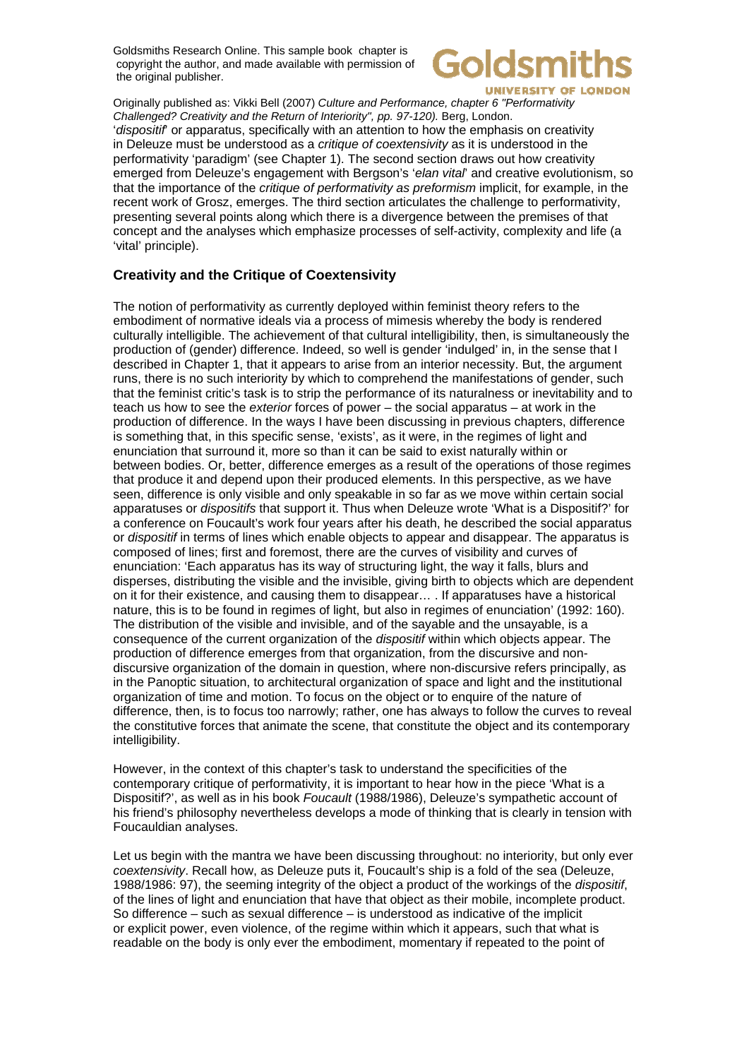

Originally published as: Vikki Bell (2007) *Culture and Performance, chapter 6 "Performativity Challenged? Creativity and the Return of Interiority", pp. 97-120).* Berg, London. '*dispositif*' or apparatus, specifically with an attention to how the emphasis on creativity in Deleuze must be understood as a *critique of coextensivity* as it is understood in the performativity 'paradigm' (see Chapter 1). The second section draws out how creativity emerged from Deleuze's engagement with Bergson's '*elan vital*' and creative evolutionism, so that the importance of the *critique of performativity as preformism* implicit, for example, in the recent work of Grosz, emerges. The third section articulates the challenge to performativity, presenting several points along which there is a divergence between the premises of that concept and the analyses which emphasize processes of self-activity, complexity and life (a 'vital' principle).

#### **Creativity and the Critique of Coextensivity**

The notion of performativity as currently deployed within feminist theory refers to the embodiment of normative ideals via a process of mimesis whereby the body is rendered culturally intelligible. The achievement of that cultural intelligibility, then, is simultaneously the production of (gender) difference. Indeed, so well is gender 'indulged' in, in the sense that I described in Chapter 1, that it appears to arise from an interior necessity. But, the argument runs, there is no such interiority by which to comprehend the manifestations of gender, such that the feminist critic's task is to strip the performance of its naturalness or inevitability and to teach us how to see the *exterior* forces of power – the social apparatus – at work in the production of difference. In the ways I have been discussing in previous chapters, difference is something that, in this specific sense, 'exists', as it were, in the regimes of light and enunciation that surround it, more so than it can be said to exist naturally within or between bodies. Or, better, difference emerges as a result of the operations of those regimes that produce it and depend upon their produced elements. In this perspective, as we have seen, difference is only visible and only speakable in so far as we move within certain social apparatuses or *dispositifs* that support it. Thus when Deleuze wrote 'What is a Dispositif?' for a conference on Foucault's work four years after his death, he described the social apparatus or *dispositif* in terms of lines which enable objects to appear and disappear. The apparatus is composed of lines; first and foremost, there are the curves of visibility and curves of enunciation: 'Each apparatus has its way of structuring light, the way it falls, blurs and disperses, distributing the visible and the invisible, giving birth to objects which are dependent on it for their existence, and causing them to disappear… . If apparatuses have a historical nature, this is to be found in regimes of light, but also in regimes of enunciation' (1992: 160). The distribution of the visible and invisible, and of the sayable and the unsayable, is a consequence of the current organization of the *dispositif* within which objects appear. The production of difference emerges from that organization, from the discursive and nondiscursive organization of the domain in question, where non-discursive refers principally, as in the Panoptic situation, to architectural organization of space and light and the institutional organization of time and motion. To focus on the object or to enquire of the nature of difference, then, is to focus too narrowly; rather, one has always to follow the curves to reveal the constitutive forces that animate the scene, that constitute the object and its contemporary intelligibility.

However, in the context of this chapter's task to understand the specificities of the contemporary critique of performativity, it is important to hear how in the piece 'What is a Dispositif?', as well as in his book *Foucault* (1988/1986), Deleuze's sympathetic account of his friend's philosophy nevertheless develops a mode of thinking that is clearly in tension with Foucauldian analyses.

Let us begin with the mantra we have been discussing throughout: no interiority, but only ever *coextensivity*. Recall how, as Deleuze puts it, Foucault's ship is a fold of the sea (Deleuze, 1988/1986: 97), the seeming integrity of the object a product of the workings of the *dispositif*, of the lines of light and enunciation that have that object as their mobile, incomplete product. So difference – such as sexual difference – is understood as indicative of the implicit or explicit power, even violence, of the regime within which it appears, such that what is readable on the body is only ever the embodiment, momentary if repeated to the point of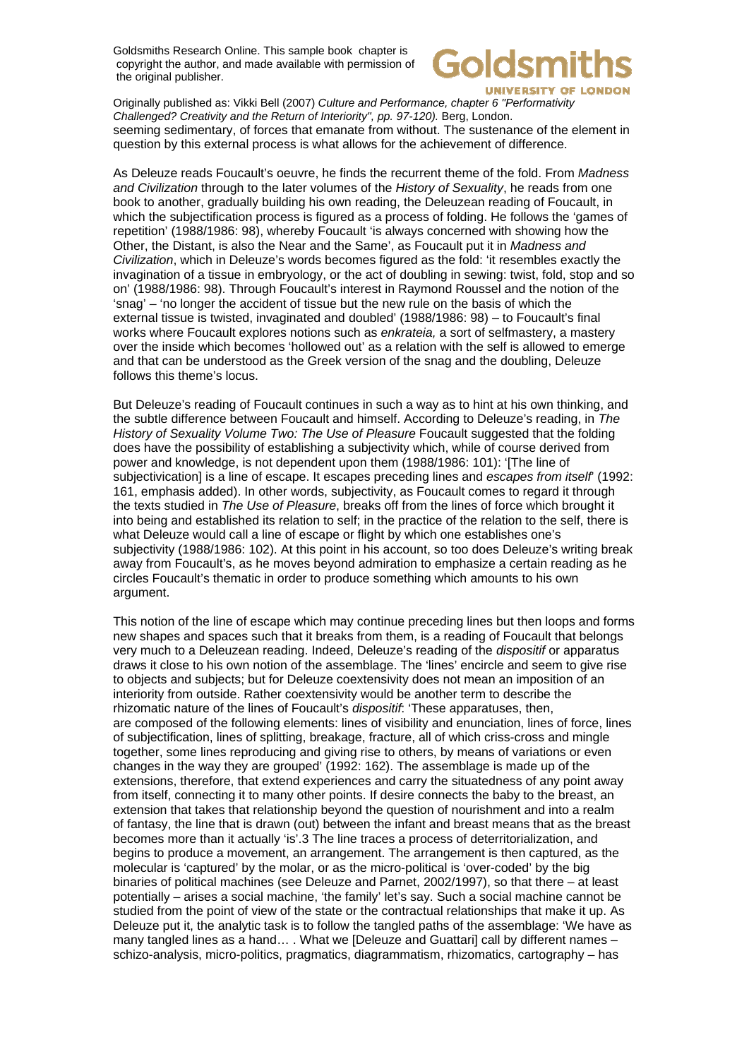

Originally published as: Vikki Bell (2007) *Culture and Performance, chapter 6 "Performativity Challenged? Creativity and the Return of Interiority", pp. 97-120).* Berg, London. seeming sedimentary, of forces that emanate from without. The sustenance of the element in question by this external process is what allows for the achievement of difference.

As Deleuze reads Foucault's oeuvre, he finds the recurrent theme of the fold. From *Madness and Civilization* through to the later volumes of the *History of Sexuality*, he reads from one book to another, gradually building his own reading, the Deleuzean reading of Foucault, in which the subjectification process is figured as a process of folding. He follows the 'games of repetition' (1988/1986: 98), whereby Foucault 'is always concerned with showing how the Other, the Distant, is also the Near and the Same', as Foucault put it in *Madness and Civilization*, which in Deleuze's words becomes figured as the fold: 'it resembles exactly the invagination of a tissue in embryology, or the act of doubling in sewing: twist, fold, stop and so on' (1988/1986: 98). Through Foucault's interest in Raymond Roussel and the notion of the 'snag' – 'no longer the accident of tissue but the new rule on the basis of which the external tissue is twisted, invaginated and doubled' (1988/1986: 98) – to Foucault's final works where Foucault explores notions such as *enkrateia,* a sort of selfmastery, a mastery over the inside which becomes 'hollowed out' as a relation with the self is allowed to emerge and that can be understood as the Greek version of the snag and the doubling, Deleuze follows this theme's locus.

But Deleuze's reading of Foucault continues in such a way as to hint at his own thinking, and the subtle difference between Foucault and himself. According to Deleuze's reading, in *The History of Sexuality Volume Two: The Use of Pleasure Foucault suggested that the folding* does have the possibility of establishing a subjectivity which, while of course derived from power and knowledge, is not dependent upon them (1988/1986: 101): '[The line of subjectivication] is a line of escape. It escapes preceding lines and *escapes from itself*' (1992: 161, emphasis added). In other words, subjectivity, as Foucault comes to regard it through the texts studied in *The Use of Pleasure*, breaks off from the lines of force which brought it into being and established its relation to self; in the practice of the relation to the self, there is what Deleuze would call a line of escape or flight by which one establishes one's subjectivity (1988/1986: 102). At this point in his account, so too does Deleuze's writing break away from Foucault's, as he moves beyond admiration to emphasize a certain reading as he circles Foucault's thematic in order to produce something which amounts to his own argument.

This notion of the line of escape which may continue preceding lines but then loops and forms new shapes and spaces such that it breaks from them, is a reading of Foucault that belongs very much to a Deleuzean reading. Indeed, Deleuze's reading of the *dispositif* or apparatus draws it close to his own notion of the assemblage. The 'lines' encircle and seem to give rise to objects and subjects; but for Deleuze coextensivity does not mean an imposition of an interiority from outside. Rather coextensivity would be another term to describe the rhizomatic nature of the lines of Foucault's *dispositif*: 'These apparatuses, then, are composed of the following elements: lines of visibility and enunciation, lines of force, lines of subjectification, lines of splitting, breakage, fracture, all of which criss-cross and mingle together, some lines reproducing and giving rise to others, by means of variations or even changes in the way they are grouped' (1992: 162). The assemblage is made up of the extensions, therefore, that extend experiences and carry the situatedness of any point away from itself, connecting it to many other points. If desire connects the baby to the breast, an extension that takes that relationship beyond the question of nourishment and into a realm of fantasy, the line that is drawn (out) between the infant and breast means that as the breast becomes more than it actually 'is'.3 The line traces a process of deterritorialization, and begins to produce a movement, an arrangement. The arrangement is then captured, as the molecular is 'captured' by the molar, or as the micro-political is 'over-coded' by the big binaries of political machines (see Deleuze and Parnet, 2002/1997), so that there – at least potentially – arises a social machine, 'the family' let's say. Such a social machine cannot be studied from the point of view of the state or the contractual relationships that make it up. As Deleuze put it, the analytic task is to follow the tangled paths of the assemblage: 'We have as many tangled lines as a hand… . What we [Deleuze and Guattari] call by different names – schizo-analysis, micro-politics, pragmatics, diagrammatism, rhizomatics, cartography – has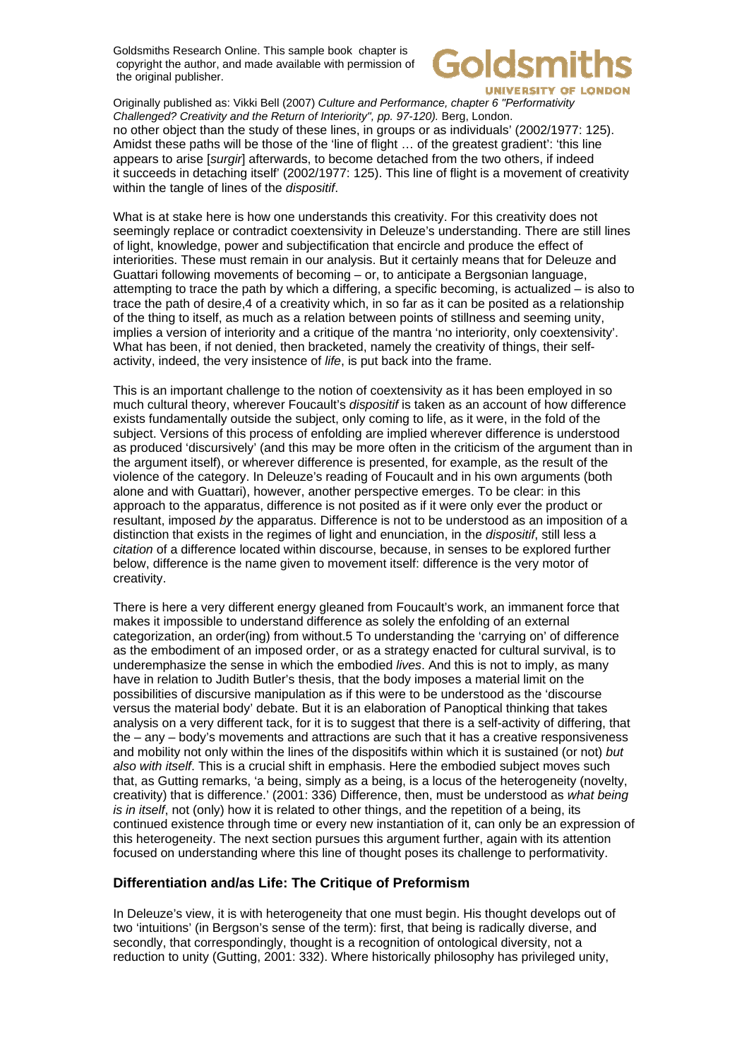

Originally published as: Vikki Bell (2007) *Culture and Performance, chapter 6 "Performativity Challenged? Creativity and the Return of Interiority", pp. 97-120).* Berg, London. no other object than the study of these lines, in groups or as individuals' (2002/1977: 125). Amidst these paths will be those of the 'line of flight … of the greatest gradient': 'this line appears to arise [*surgir*] afterwards, to become detached from the two others, if indeed it succeeds in detaching itself' (2002/1977: 125). This line of flight is a movement of creativity within the tangle of lines of the *dispositif*.

What is at stake here is how one understands this creativity. For this creativity does not seemingly replace or contradict coextensivity in Deleuze's understanding. There are still lines of light, knowledge, power and subjectification that encircle and produce the effect of interiorities. These must remain in our analysis. But it certainly means that for Deleuze and Guattari following movements of becoming – or, to anticipate a Bergsonian language, attempting to trace the path by which a differing, a specific becoming, is actualized – is also to trace the path of desire,4 of a creativity which, in so far as it can be posited as a relationship of the thing to itself, as much as a relation between points of stillness and seeming unity, implies a version of interiority and a critique of the mantra 'no interiority, only coextensivity'. What has been, if not denied, then bracketed, namely the creativity of things, their selfactivity, indeed, the very insistence of *life*, is put back into the frame.

This is an important challenge to the notion of coextensivity as it has been employed in so much cultural theory, wherever Foucault's *dispositif* is taken as an account of how difference exists fundamentally outside the subject, only coming to life, as it were, in the fold of the subject. Versions of this process of enfolding are implied wherever difference is understood as produced 'discursively' (and this may be more often in the criticism of the argument than in the argument itself), or wherever difference is presented, for example, as the result of the violence of the category. In Deleuze's reading of Foucault and in his own arguments (both alone and with Guattari), however, another perspective emerges. To be clear: in this approach to the apparatus, difference is not posited as if it were only ever the product or resultant, imposed *by* the apparatus. Difference is not to be understood as an imposition of a distinction that exists in the regimes of light and enunciation, in the *dispositif*, still less a *citation* of a difference located within discourse, because, in senses to be explored further below, difference is the name given to movement itself: difference is the very motor of creativity.

There is here a very different energy gleaned from Foucault's work, an immanent force that makes it impossible to understand difference as solely the enfolding of an external categorization, an order(ing) from without.5 To understanding the 'carrying on' of difference as the embodiment of an imposed order, or as a strategy enacted for cultural survival, is to underemphasize the sense in which the embodied *lives*. And this is not to imply, as many have in relation to Judith Butler's thesis, that the body imposes a material limit on the possibilities of discursive manipulation as if this were to be understood as the 'discourse versus the material body' debate. But it is an elaboration of Panoptical thinking that takes analysis on a very different tack, for it is to suggest that there is a self-activity of differing, that the – any – body's movements and attractions are such that it has a creative responsiveness and mobility not only within the lines of the dispositifs within which it is sustained (or not) *but also with itself*. This is a crucial shift in emphasis. Here the embodied subject moves such that, as Gutting remarks, 'a being, simply as a being, is a locus of the heterogeneity (novelty, creativity) that is difference.' (2001: 336) Difference, then, must be understood as *what being is in itself*, not (only) how it is related to other things, and the repetition of a being, its continued existence through time or every new instantiation of it, can only be an expression of this heterogeneity. The next section pursues this argument further, again with its attention focused on understanding where this line of thought poses its challenge to performativity.

#### **Differentiation and/as Life: The Critique of Preformism**

In Deleuze's view, it is with heterogeneity that one must begin. His thought develops out of two 'intuitions' (in Bergson's sense of the term): first, that being is radically diverse, and secondly, that correspondingly, thought is a recognition of ontological diversity, not a reduction to unity (Gutting, 2001: 332). Where historically philosophy has privileged unity,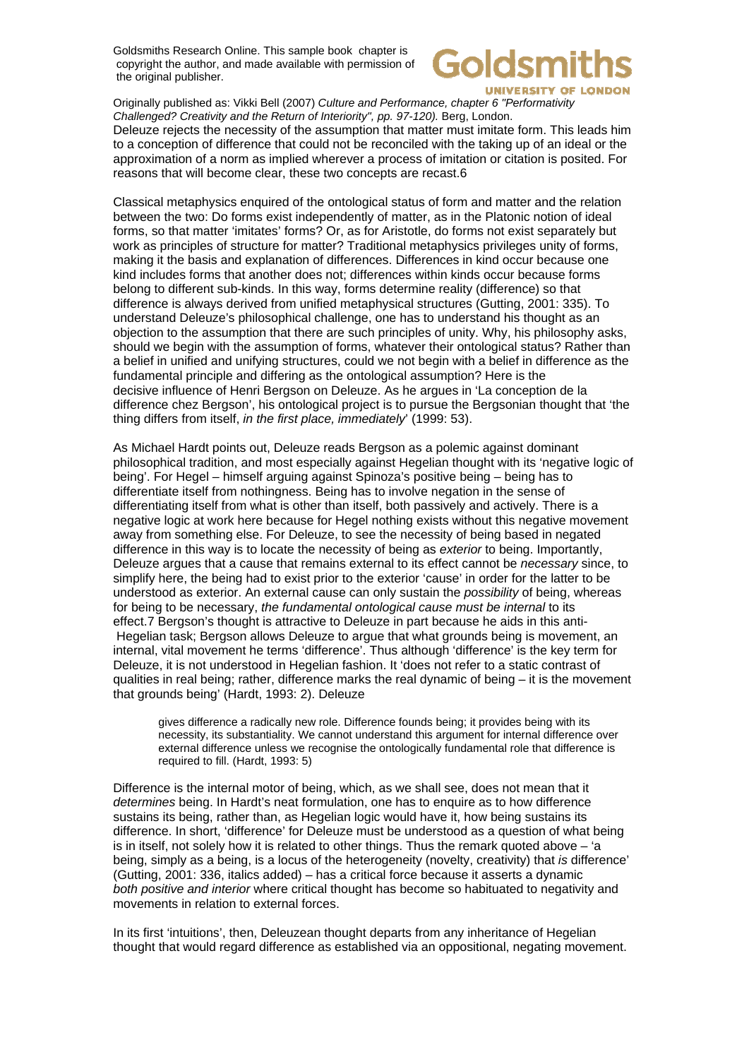

Originally published as: Vikki Bell (2007) *Culture and Performance, chapter 6 "Performativity Challenged? Creativity and the Return of Interiority", pp. 97-120).* Berg, London.

Deleuze rejects the necessity of the assumption that matter must imitate form. This leads him to a conception of difference that could not be reconciled with the taking up of an ideal or the approximation of a norm as implied wherever a process of imitation or citation is posited. For reasons that will become clear, these two concepts are recast.6

Classical metaphysics enquired of the ontological status of form and matter and the relation between the two: Do forms exist independently of matter, as in the Platonic notion of ideal forms, so that matter 'imitates' forms? Or, as for Aristotle, do forms not exist separately but work as principles of structure for matter? Traditional metaphysics privileges unity of forms, making it the basis and explanation of differences. Differences in kind occur because one kind includes forms that another does not; differences within kinds occur because forms belong to different sub-kinds. In this way, forms determine reality (difference) so that difference is always derived from unified metaphysical structures (Gutting, 2001: 335). To understand Deleuze's philosophical challenge, one has to understand his thought as an objection to the assumption that there are such principles of unity. Why, his philosophy asks, should we begin with the assumption of forms, whatever their ontological status? Rather than a belief in unified and unifying structures, could we not begin with a belief in difference as the fundamental principle and differing as the ontological assumption? Here is the decisive influence of Henri Bergson on Deleuze. As he argues in 'La conception de la difference chez Bergson', his ontological project is to pursue the Bergsonian thought that 'the thing differs from itself, *in the first place, immediately*' (1999: 53).

As Michael Hardt points out, Deleuze reads Bergson as a polemic against dominant philosophical tradition, and most especially against Hegelian thought with its 'negative logic of being'. For Hegel – himself arguing against Spinoza's positive being – being has to differentiate itself from nothingness. Being has to involve negation in the sense of differentiating itself from what is other than itself, both passively and actively. There is a negative logic at work here because for Hegel nothing exists without this negative movement away from something else. For Deleuze, to see the necessity of being based in negated difference in this way is to locate the necessity of being as *exterior* to being. Importantly, Deleuze argues that a cause that remains external to its effect cannot be *necessary* since, to simplify here, the being had to exist prior to the exterior 'cause' in order for the latter to be understood as exterior. An external cause can only sustain the *possibility* of being, whereas for being to be necessary, *the fundamental ontological cause must be internal* to its effect.7 Bergson's thought is attractive to Deleuze in part because he aids in this anti- Hegelian task; Bergson allows Deleuze to argue that what grounds being is movement, an internal, vital movement he terms 'difference'. Thus although 'difference' is the key term for Deleuze, it is not understood in Hegelian fashion. It 'does not refer to a static contrast of qualities in real being; rather, difference marks the real dynamic of being – it is the movement that grounds being' (Hardt, 1993: 2). Deleuze

gives difference a radically new role. Difference founds being; it provides being with its necessity, its substantiality. We cannot understand this argument for internal difference over external difference unless we recognise the ontologically fundamental role that difference is required to fill. (Hardt, 1993: 5)

Difference is the internal motor of being, which, as we shall see, does not mean that it *determines* being. In Hardt's neat formulation, one has to enquire as to how difference sustains its being, rather than, as Hegelian logic would have it, how being sustains its difference. In short, 'difference' for Deleuze must be understood as a question of what being is in itself, not solely how it is related to other things. Thus the remark quoted above – 'a being, simply as a being, is a locus of the heterogeneity (novelty, creativity) that *is* difference' (Gutting, 2001: 336, italics added) – has a critical force because it asserts a dynamic *both positive and interior* where critical thought has become so habituated to negativity and movements in relation to external forces.

In its first 'intuitions', then, Deleuzean thought departs from any inheritance of Hegelian thought that would regard difference as established via an oppositional, negating movement.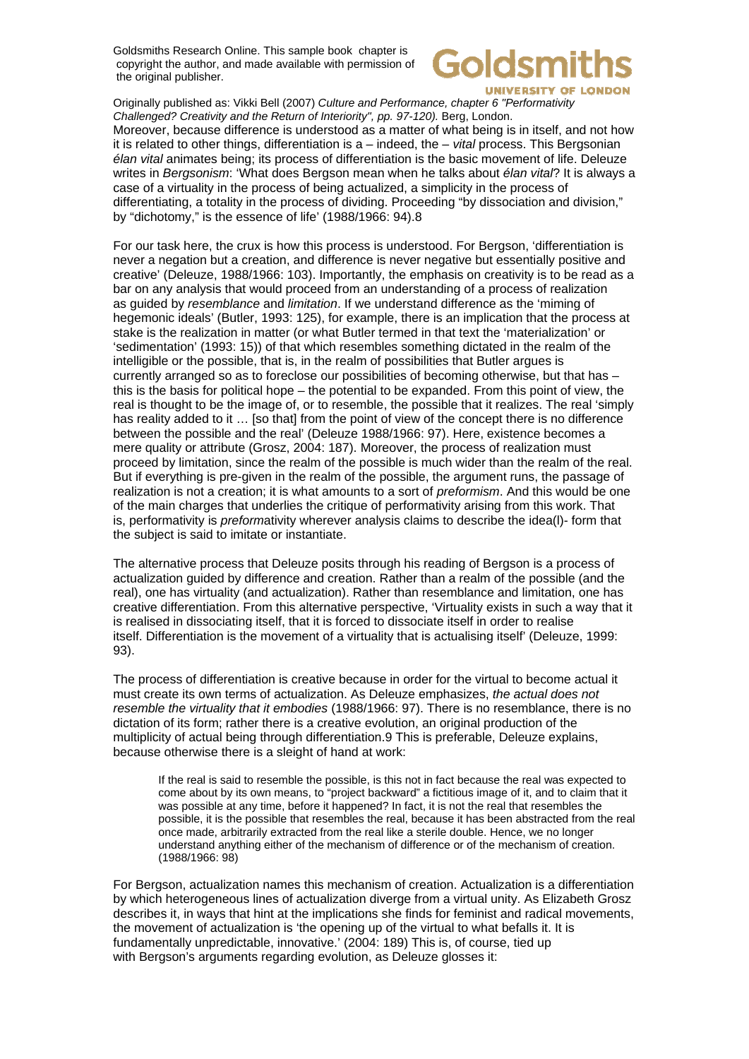

Originally published as: Vikki Bell (2007) *Culture and Performance, chapter 6 "Performativity Challenged? Creativity and the Return of Interiority", pp. 97-120).* Berg, London. Moreover, because difference is understood as a matter of what being is in itself, and not how it is related to other things, differentiation is a – indeed, the – *vital* process. This Bergsonian *élan vital* animates being; its process of differentiation is the basic movement of life. Deleuze writes in *Bergsonism*: 'What does Bergson mean when he talks about *élan vital*? It is always a

case of a virtuality in the process of being actualized, a simplicity in the process of differentiating, a totality in the process of dividing. Proceeding "by dissociation and division," by "dichotomy," is the essence of life' (1988/1966: 94).8

For our task here, the crux is how this process is understood. For Bergson, 'differentiation is never a negation but a creation, and difference is never negative but essentially positive and creative' (Deleuze, 1988/1966: 103). Importantly, the emphasis on creativity is to be read as a bar on any analysis that would proceed from an understanding of a process of realization as guided by *resemblance* and *limitation*. If we understand difference as the 'miming of hegemonic ideals' (Butler, 1993: 125), for example, there is an implication that the process at stake is the realization in matter (or what Butler termed in that text the 'materialization' or 'sedimentation' (1993: 15)) of that which resembles something dictated in the realm of the intelligible or the possible, that is, in the realm of possibilities that Butler argues is currently arranged so as to foreclose our possibilities of becoming otherwise, but that has – this is the basis for political hope – the potential to be expanded. From this point of view, the real is thought to be the image of, or to resemble, the possible that it realizes. The real 'simply has reality added to it ... [so that] from the point of view of the concept there is no difference between the possible and the real' (Deleuze 1988/1966: 97). Here, existence becomes a mere quality or attribute (Grosz, 2004: 187). Moreover, the process of realization must proceed by limitation, since the realm of the possible is much wider than the realm of the real. But if everything is pre-given in the realm of the possible, the argument runs, the passage of realization is not a creation; it is what amounts to a sort of *preformism*. And this would be one of the main charges that underlies the critique of performativity arising from this work. That is, performativity is *preform*ativity wherever analysis claims to describe the idea(l)- form that the subject is said to imitate or instantiate.

The alternative process that Deleuze posits through his reading of Bergson is a process of actualization guided by difference and creation. Rather than a realm of the possible (and the real), one has virtuality (and actualization). Rather than resemblance and limitation, one has creative differentiation. From this alternative perspective, 'Virtuality exists in such a way that it is realised in dissociating itself, that it is forced to dissociate itself in order to realise itself. Differentiation is the movement of a virtuality that is actualising itself' (Deleuze, 1999: 93).

The process of differentiation is creative because in order for the virtual to become actual it must create its own terms of actualization. As Deleuze emphasizes, *the actual does not resemble the virtuality that it embodies* (1988/1966: 97). There is no resemblance, there is no dictation of its form; rather there is a creative evolution, an original production of the multiplicity of actual being through differentiation.9 This is preferable, Deleuze explains, because otherwise there is a sleight of hand at work:

If the real is said to resemble the possible, is this not in fact because the real was expected to come about by its own means, to "project backward" a fictitious image of it, and to claim that it was possible at any time, before it happened? In fact, it is not the real that resembles the possible, it is the possible that resembles the real, because it has been abstracted from the real once made, arbitrarily extracted from the real like a sterile double. Hence, we no longer understand anything either of the mechanism of difference or of the mechanism of creation. (1988/1966: 98)

For Bergson, actualization names this mechanism of creation. Actualization is a differentiation by which heterogeneous lines of actualization diverge from a virtual unity. As Elizabeth Grosz describes it, in ways that hint at the implications she finds for feminist and radical movements, the movement of actualization is 'the opening up of the virtual to what befalls it. It is fundamentally unpredictable, innovative.' (2004: 189) This is, of course, tied up with Bergson's arguments regarding evolution, as Deleuze glosses it: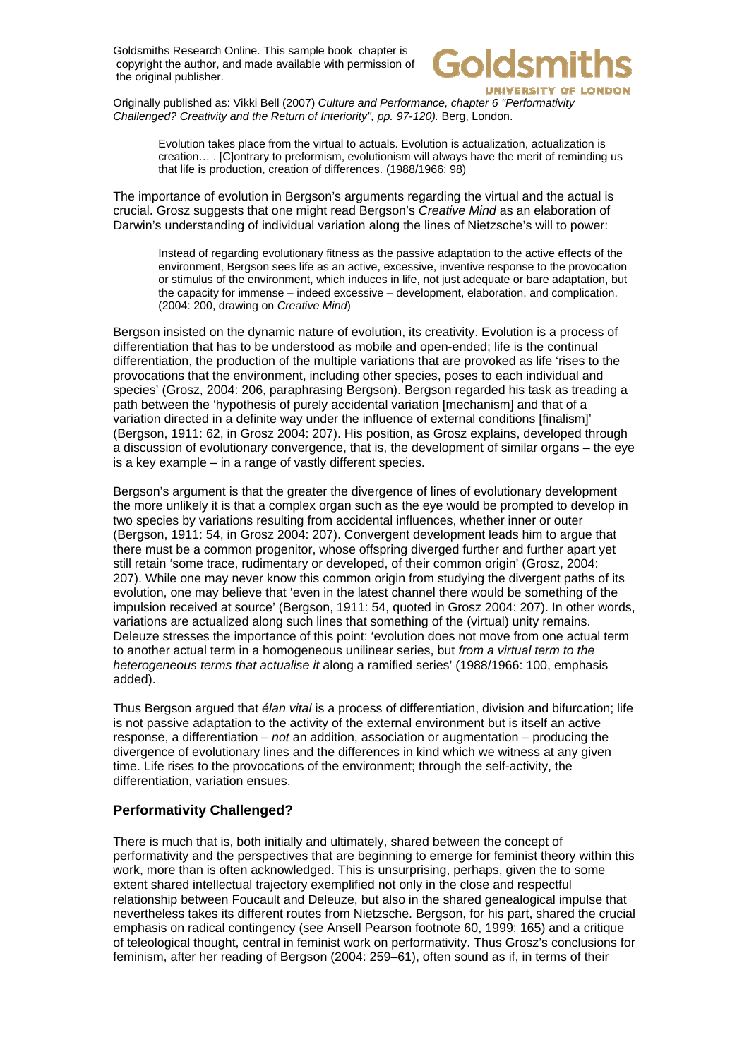

Originally published as: Vikki Bell (2007) *Culture and Performance, chapter 6 "Performativity Challenged? Creativity and the Return of Interiority", pp. 97-120).* Berg, London.

Evolution takes place from the virtual to actuals. Evolution is actualization, actualization is creation… . [C]ontrary to preformism, evolutionism will always have the merit of reminding us that life is production, creation of differences. (1988/1966: 98)

The importance of evolution in Bergson's arguments regarding the virtual and the actual is crucial. Grosz suggests that one might read Bergson's *Creative Mind* as an elaboration of Darwin's understanding of individual variation along the lines of Nietzsche's will to power:

Instead of regarding evolutionary fitness as the passive adaptation to the active effects of the environment, Bergson sees life as an active, excessive, inventive response to the provocation or stimulus of the environment, which induces in life, not just adequate or bare adaptation, but the capacity for immense – indeed excessive – development, elaboration, and complication. (2004: 200, drawing on *Creative Mind*)

Bergson insisted on the dynamic nature of evolution, its creativity. Evolution is a process of differentiation that has to be understood as mobile and open-ended; life is the continual differentiation, the production of the multiple variations that are provoked as life 'rises to the provocations that the environment, including other species, poses to each individual and species' (Grosz, 2004: 206, paraphrasing Bergson). Bergson regarded his task as treading a path between the 'hypothesis of purely accidental variation [mechanism] and that of a variation directed in a definite way under the influence of external conditions [finalism]' (Bergson, 1911: 62, in Grosz 2004: 207). His position, as Grosz explains, developed through a discussion of evolutionary convergence, that is, the development of similar organs – the eye is a key example – in a range of vastly different species.

Bergson's argument is that the greater the divergence of lines of evolutionary development the more unlikely it is that a complex organ such as the eye would be prompted to develop in two species by variations resulting from accidental influences, whether inner or outer (Bergson, 1911: 54, in Grosz 2004: 207). Convergent development leads him to argue that there must be a common progenitor, whose offspring diverged further and further apart yet still retain 'some trace, rudimentary or developed, of their common origin' (Grosz, 2004: 207). While one may never know this common origin from studying the divergent paths of its evolution, one may believe that 'even in the latest channel there would be something of the impulsion received at source' (Bergson, 1911: 54, quoted in Grosz 2004: 207). In other words, variations are actualized along such lines that something of the (virtual) unity remains. Deleuze stresses the importance of this point: 'evolution does not move from one actual term to another actual term in a homogeneous unilinear series, but *from a virtual term to the heterogeneous terms that actualise it* along a ramified series' (1988/1966: 100, emphasis added).

Thus Bergson argued that *élan vital* is a process of differentiation, division and bifurcation; life is not passive adaptation to the activity of the external environment but is itself an active response, a differentiation – *not* an addition, association or augmentation – producing the divergence of evolutionary lines and the differences in kind which we witness at any given time. Life rises to the provocations of the environment; through the self-activity, the differentiation, variation ensues.

### **Performativity Challenged?**

There is much that is, both initially and ultimately, shared between the concept of performativity and the perspectives that are beginning to emerge for feminist theory within this work, more than is often acknowledged. This is unsurprising, perhaps, given the to some extent shared intellectual trajectory exemplified not only in the close and respectful relationship between Foucault and Deleuze, but also in the shared genealogical impulse that nevertheless takes its different routes from Nietzsche. Bergson, for his part, shared the crucial emphasis on radical contingency (see Ansell Pearson footnote 60, 1999: 165) and a critique of teleological thought, central in feminist work on performativity. Thus Grosz's conclusions for feminism, after her reading of Bergson (2004: 259–61), often sound as if, in terms of their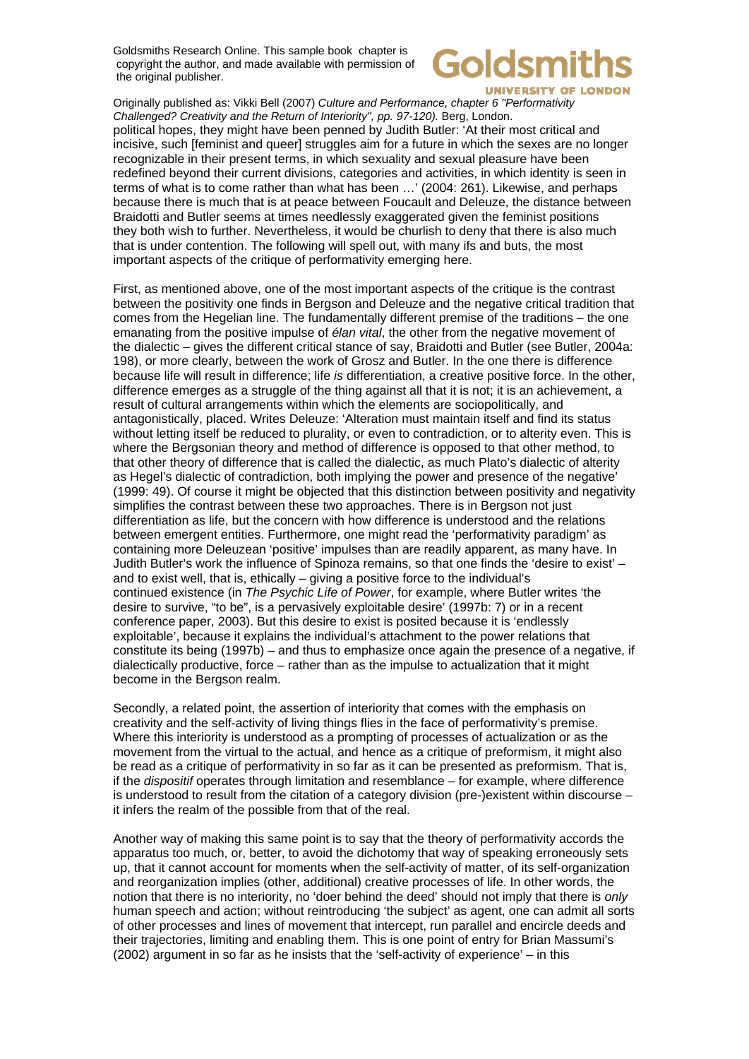

Originally published as: Vikki Bell (2007) *Culture and Performance, chapter 6 "Performativity Challenged? Creativity and the Return of Interiority", pp. 97-120).* Berg, London. political hopes, they might have been penned by Judith Butler: 'At their most critical and incisive, such [feminist and queer] struggles aim for a future in which the sexes are no longer recognizable in their present terms, in which sexuality and sexual pleasure have been redefined beyond their current divisions, categories and activities, in which identity is seen in terms of what is to come rather than what has been …' (2004: 261). Likewise, and perhaps because there is much that is at peace between Foucault and Deleuze, the distance between Braidotti and Butler seems at times needlessly exaggerated given the feminist positions they both wish to further. Nevertheless, it would be churlish to deny that there is also much that is under contention. The following will spell out, with many ifs and buts, the most important aspects of the critique of performativity emerging here.

First, as mentioned above, one of the most important aspects of the critique is the contrast between the positivity one finds in Bergson and Deleuze and the negative critical tradition that comes from the Hegelian line. The fundamentally different premise of the traditions – the one emanating from the positive impulse of *élan vital*, the other from the negative movement of the dialectic – gives the different critical stance of say, Braidotti and Butler (see Butler, 2004a: 198), or more clearly, between the work of Grosz and Butler. In the one there is difference because life will result in difference; life *is* differentiation, a creative positive force. In the other, difference emerges as a struggle of the thing against all that it is not; it is an achievement, a result of cultural arrangements within which the elements are sociopolitically, and antagonistically, placed. Writes Deleuze: 'Alteration must maintain itself and find its status without letting itself be reduced to plurality, or even to contradiction, or to alterity even. This is where the Bergsonian theory and method of difference is opposed to that other method, to that other theory of difference that is called the dialectic, as much Plato's dialectic of alterity as Hegel's dialectic of contradiction, both implying the power and presence of the negative' (1999: 49). Of course it might be objected that this distinction between positivity and negativity simplifies the contrast between these two approaches. There is in Bergson not just differentiation as life, but the concern with how difference is understood and the relations between emergent entities. Furthermore, one might read the 'performativity paradigm' as containing more Deleuzean 'positive' impulses than are readily apparent, as many have. In Judith Butler's work the influence of Spinoza remains, so that one finds the 'desire to exist' – and to exist well, that is, ethically – giving a positive force to the individual's continued existence (in *The Psychic Life of Power*, for example, where Butler writes 'the desire to survive, "to be", is a pervasively exploitable desire' (1997b: 7) or in a recent conference paper, 2003). But this desire to exist is posited because it is 'endlessly exploitable', because it explains the individual's attachment to the power relations that constitute its being (1997b) – and thus to emphasize once again the presence of a negative, if dialectically productive, force – rather than as the impulse to actualization that it might become in the Bergson realm.

Secondly, a related point, the assertion of interiority that comes with the emphasis on creativity and the self-activity of living things flies in the face of performativity's premise. Where this interiority is understood as a prompting of processes of actualization or as the movement from the virtual to the actual, and hence as a critique of preformism, it might also be read as a critique of performativity in so far as it can be presented as preformism. That is, if the *dispositif* operates through limitation and resemblance – for example, where difference is understood to result from the citation of a category division (pre-)existent within discourse – it infers the realm of the possible from that of the real.

Another way of making this same point is to say that the theory of performativity accords the apparatus too much, or, better, to avoid the dichotomy that way of speaking erroneously sets up, that it cannot account for moments when the self-activity of matter, of its self-organization and reorganization implies (other, additional) creative processes of life. In other words, the notion that there is no interiority, no 'doer behind the deed' should not imply that there is *only*  human speech and action; without reintroducing 'the subject' as agent, one can admit all sorts of other processes and lines of movement that intercept, run parallel and encircle deeds and their trajectories, limiting and enabling them. This is one point of entry for Brian Massumi's (2002) argument in so far as he insists that the 'self-activity of experience' – in this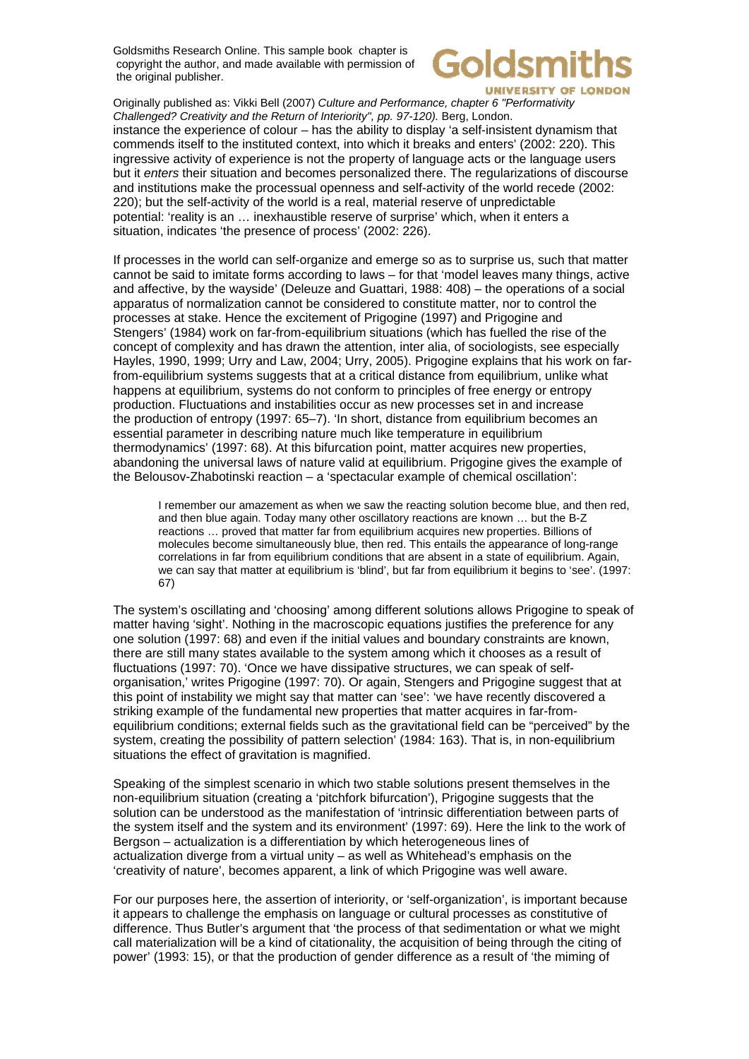

Originally published as: Vikki Bell (2007) *Culture and Performance, chapter 6 "Performativity Challenged? Creativity and the Return of Interiority", pp. 97-120).* Berg, London. instance the experience of colour – has the ability to display 'a self-insistent dynamism that commends itself to the instituted context, into which it breaks and enters' (2002: 220). This ingressive activity of experience is not the property of language acts or the language users but it *enters* their situation and becomes personalized there. The regularizations of discourse and institutions make the processual openness and self-activity of the world recede (2002: 220); but the self-activity of the world is a real, material reserve of unpredictable potential: 'reality is an … inexhaustible reserve of surprise' which, when it enters a situation, indicates 'the presence of process' (2002: 226).

If processes in the world can self-organize and emerge so as to surprise us, such that matter cannot be said to imitate forms according to laws – for that 'model leaves many things, active and affective, by the wayside' (Deleuze and Guattari, 1988: 408) – the operations of a social apparatus of normalization cannot be considered to constitute matter, nor to control the processes at stake. Hence the excitement of Prigogine (1997) and Prigogine and Stengers' (1984) work on far-from-equilibrium situations (which has fuelled the rise of the concept of complexity and has drawn the attention, inter alia, of sociologists, see especially Hayles, 1990, 1999; Urry and Law, 2004; Urry, 2005). Prigogine explains that his work on farfrom-equilibrium systems suggests that at a critical distance from equilibrium, unlike what happens at equilibrium, systems do not conform to principles of free energy or entropy production. Fluctuations and instabilities occur as new processes set in and increase the production of entropy (1997: 65–7). 'In short, distance from equilibrium becomes an essential parameter in describing nature much like temperature in equilibrium thermodynamics' (1997: 68). At this bifurcation point, matter acquires new properties, abandoning the universal laws of nature valid at equilibrium. Prigogine gives the example of the Belousov-Zhabotinski reaction – a 'spectacular example of chemical oscillation':

I remember our amazement as when we saw the reacting solution become blue, and then red, and then blue again. Today many other oscillatory reactions are known … but the B-Z reactions … proved that matter far from equilibrium acquires new properties. Billions of molecules become simultaneously blue, then red. This entails the appearance of long-range correlations in far from equilibrium conditions that are absent in a state of equilibrium. Again, we can say that matter at equilibrium is 'blind', but far from equilibrium it begins to 'see'. (1997: 67)

The system's oscillating and 'choosing' among different solutions allows Prigogine to speak of matter having 'sight'. Nothing in the macroscopic equations justifies the preference for any one solution (1997: 68) and even if the initial values and boundary constraints are known, there are still many states available to the system among which it chooses as a result of fluctuations (1997: 70). 'Once we have dissipative structures, we can speak of selforganisation,' writes Prigogine (1997: 70). Or again, Stengers and Prigogine suggest that at this point of instability we might say that matter can 'see': 'we have recently discovered a striking example of the fundamental new properties that matter acquires in far-fromequilibrium conditions; external fields such as the gravitational field can be "perceived" by the system, creating the possibility of pattern selection' (1984: 163). That is, in non-equilibrium situations the effect of gravitation is magnified.

Speaking of the simplest scenario in which two stable solutions present themselves in the non-equilibrium situation (creating a 'pitchfork bifurcation'), Prigogine suggests that the solution can be understood as the manifestation of 'intrinsic differentiation between parts of the system itself and the system and its environment' (1997: 69). Here the link to the work of Bergson – actualization is a differentiation by which heterogeneous lines of actualization diverge from a virtual unity – as well as Whitehead's emphasis on the 'creativity of nature', becomes apparent, a link of which Prigogine was well aware.

For our purposes here, the assertion of interiority, or 'self-organization', is important because it appears to challenge the emphasis on language or cultural processes as constitutive of difference. Thus Butler's argument that 'the process of that sedimentation or what we might call materialization will be a kind of citationality, the acquisition of being through the citing of power' (1993: 15), or that the production of gender difference as a result of 'the miming of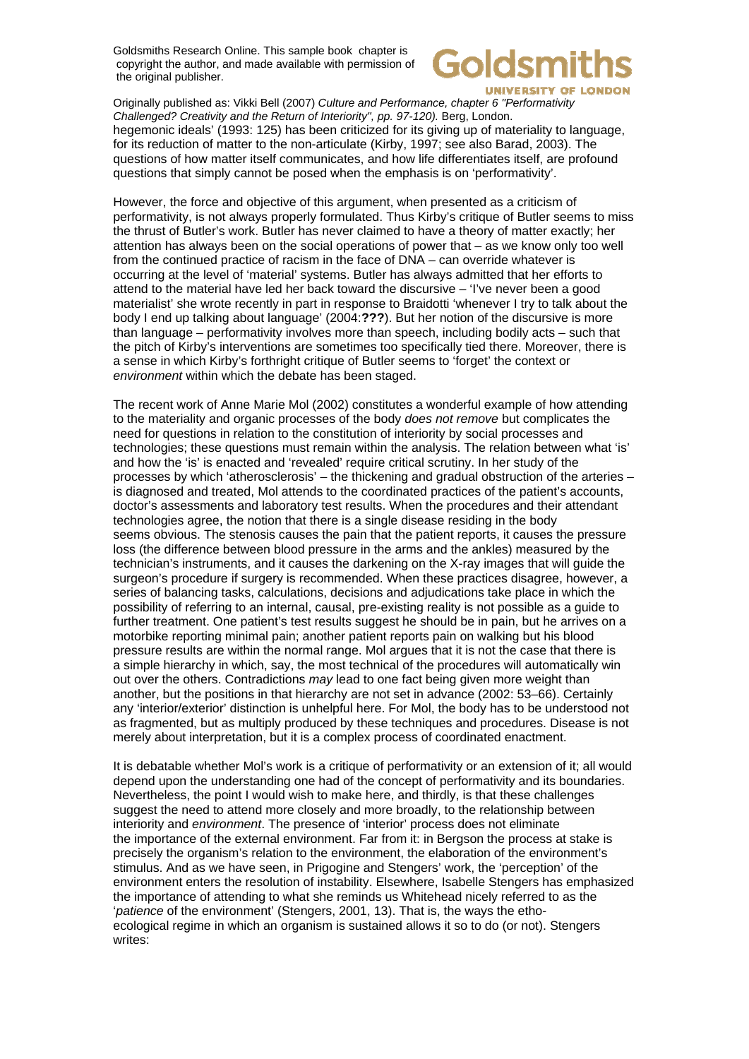

Originally published as: Vikki Bell (2007) *Culture and Performance, chapter 6 "Performativity Challenged? Creativity and the Return of Interiority", pp. 97-120).* Berg, London. hegemonic ideals' (1993: 125) has been criticized for its giving up of materiality to language, for its reduction of matter to the non-articulate (Kirby, 1997; see also Barad, 2003). The questions of how matter itself communicates, and how life differentiates itself, are profound questions that simply cannot be posed when the emphasis is on 'performativity'.

However, the force and objective of this argument, when presented as a criticism of performativity, is not always properly formulated. Thus Kirby's critique of Butler seems to miss the thrust of Butler's work. Butler has never claimed to have a theory of matter exactly; her attention has always been on the social operations of power that – as we know only too well from the continued practice of racism in the face of DNA – can override whatever is occurring at the level of 'material' systems. Butler has always admitted that her efforts to attend to the material have led her back toward the discursive – 'I've never been a good materialist' she wrote recently in part in response to Braidotti 'whenever I try to talk about the body I end up talking about language' (2004:**???**). But her notion of the discursive is more than language – performativity involves more than speech, including bodily acts – such that the pitch of Kirby's interventions are sometimes too specifically tied there. Moreover, there is a sense in which Kirby's forthright critique of Butler seems to 'forget' the context or *environment* within which the debate has been staged.

The recent work of Anne Marie Mol (2002) constitutes a wonderful example of how attending to the materiality and organic processes of the body *does not remove* but complicates the need for questions in relation to the constitution of interiority by social processes and technologies; these questions must remain within the analysis. The relation between what 'is' and how the 'is' is enacted and 'revealed' require critical scrutiny. In her study of the processes by which 'atherosclerosis' – the thickening and gradual obstruction of the arteries – is diagnosed and treated, Mol attends to the coordinated practices of the patient's accounts, doctor's assessments and laboratory test results. When the procedures and their attendant technologies agree, the notion that there is a single disease residing in the body seems obvious. The stenosis causes the pain that the patient reports, it causes the pressure loss (the difference between blood pressure in the arms and the ankles) measured by the technician's instruments, and it causes the darkening on the X-ray images that will guide the surgeon's procedure if surgery is recommended. When these practices disagree, however, a series of balancing tasks, calculations, decisions and adjudications take place in which the possibility of referring to an internal, causal, pre-existing reality is not possible as a guide to further treatment. One patient's test results suggest he should be in pain, but he arrives on a motorbike reporting minimal pain; another patient reports pain on walking but his blood pressure results are within the normal range. Mol argues that it is not the case that there is a simple hierarchy in which, say, the most technical of the procedures will automatically win out over the others. Contradictions *may* lead to one fact being given more weight than another, but the positions in that hierarchy are not set in advance (2002: 53–66). Certainly any 'interior/exterior' distinction is unhelpful here. For Mol, the body has to be understood not as fragmented, but as multiply produced by these techniques and procedures. Disease is not merely about interpretation, but it is a complex process of coordinated enactment.

It is debatable whether Mol's work is a critique of performativity or an extension of it; all would depend upon the understanding one had of the concept of performativity and its boundaries. Nevertheless, the point I would wish to make here, and thirdly, is that these challenges suggest the need to attend more closely and more broadly, to the relationship between interiority and *environment*. The presence of 'interior' process does not eliminate the importance of the external environment. Far from it: in Bergson the process at stake is precisely the organism's relation to the environment, the elaboration of the environment's stimulus. And as we have seen, in Prigogine and Stengers' work, the 'perception' of the environment enters the resolution of instability. Elsewhere, Isabelle Stengers has emphasized the importance of attending to what she reminds us Whitehead nicely referred to as the '*patience* of the environment' (Stengers, 2001, 13). That is, the ways the ethoecological regime in which an organism is sustained allows it so to do (or not). Stengers writes: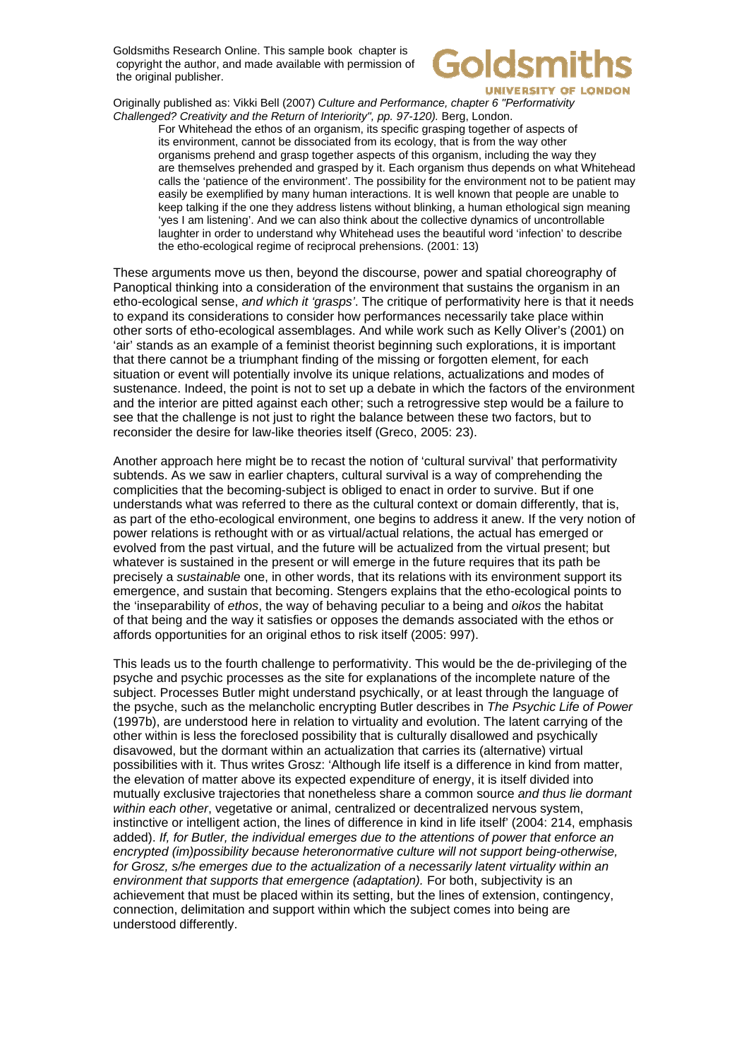

Originally published as: Vikki Bell (2007) *Culture and Performance, chapter 6 "Performativity Challenged? Creativity and the Return of Interiority", pp. 97-120).* Berg, London.

For Whitehead the ethos of an organism, its specific grasping together of aspects of its environment, cannot be dissociated from its ecology, that is from the way other organisms prehend and grasp together aspects of this organism, including the way they are themselves prehended and grasped by it. Each organism thus depends on what Whitehead calls the 'patience of the environment'. The possibility for the environment not to be patient may easily be exemplified by many human interactions. It is well known that people are unable to keep talking if the one they address listens without blinking, a human ethological sign meaning 'yes I am listening'. And we can also think about the collective dynamics of uncontrollable laughter in order to understand why Whitehead uses the beautiful word 'infection' to describe the etho-ecological regime of reciprocal prehensions. (2001: 13)

These arguments move us then, beyond the discourse, power and spatial choreography of Panoptical thinking into a consideration of the environment that sustains the organism in an etho-ecological sense, *and which it 'grasps'*. The critique of performativity here is that it needs to expand its considerations to consider how performances necessarily take place within other sorts of etho-ecological assemblages. And while work such as Kelly Oliver's (2001) on 'air' stands as an example of a feminist theorist beginning such explorations, it is important that there cannot be a triumphant finding of the missing or forgotten element, for each situation or event will potentially involve its unique relations, actualizations and modes of sustenance. Indeed, the point is not to set up a debate in which the factors of the environment and the interior are pitted against each other; such a retrogressive step would be a failure to see that the challenge is not just to right the balance between these two factors, but to reconsider the desire for law-like theories itself (Greco, 2005: 23).

Another approach here might be to recast the notion of 'cultural survival' that performativity subtends. As we saw in earlier chapters, cultural survival is a way of comprehending the complicities that the becoming-subject is obliged to enact in order to survive. But if one understands what was referred to there as the cultural context or domain differently, that is, as part of the etho-ecological environment, one begins to address it anew. If the very notion of power relations is rethought with or as virtual/actual relations, the actual has emerged or evolved from the past virtual, and the future will be actualized from the virtual present; but whatever is sustained in the present or will emerge in the future requires that its path be precisely a *sustainable* one, in other words, that its relations with its environment support its emergence, and sustain that becoming. Stengers explains that the etho-ecological points to the 'inseparability of *ethos*, the way of behaving peculiar to a being and *oikos* the habitat of that being and the way it satisfies or opposes the demands associated with the ethos or affords opportunities for an original ethos to risk itself (2005: 997).

This leads us to the fourth challenge to performativity. This would be the de-privileging of the psyche and psychic processes as the site for explanations of the incomplete nature of the subject. Processes Butler might understand psychically, or at least through the language of the psyche, such as the melancholic encrypting Butler describes in *The Psychic Life of Power*  (1997b), are understood here in relation to virtuality and evolution. The latent carrying of the other within is less the foreclosed possibility that is culturally disallowed and psychically disavowed, but the dormant within an actualization that carries its (alternative) virtual possibilities with it. Thus writes Grosz: 'Although life itself is a difference in kind from matter, the elevation of matter above its expected expenditure of energy, it is itself divided into mutually exclusive trajectories that nonetheless share a common source *and thus lie dormant within each other*, vegetative or animal, centralized or decentralized nervous system, instinctive or intelligent action, the lines of difference in kind in life itself' (2004: 214, emphasis added). *If, for Butler, the individual emerges due to the attentions of power that enforce an encrypted (im)possibility because heteronormative culture will not support being-otherwise, for Grosz, s/he emerges due to the actualization of a necessarily latent virtuality within an environment that supports that emergence (adaptation).* For both, subjectivity is an achievement that must be placed within its setting, but the lines of extension, contingency, connection, delimitation and support within which the subject comes into being are understood differently.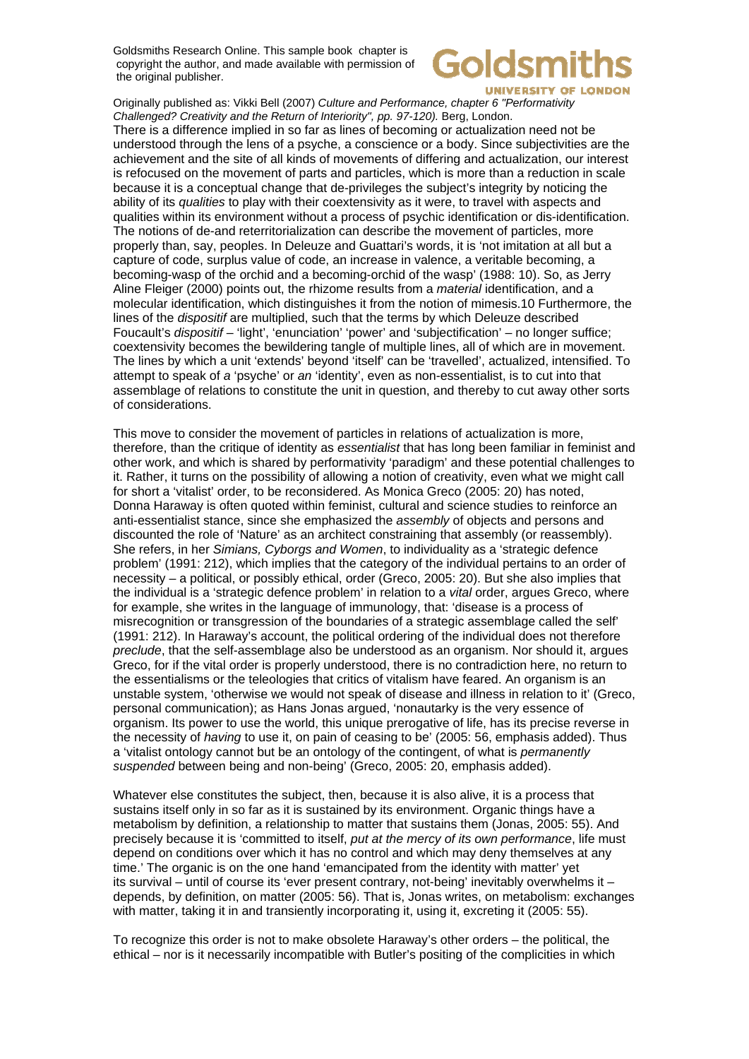

Originally published as: Vikki Bell (2007) *Culture and Performance, chapter 6 "Performativity Challenged? Creativity and the Return of Interiority", pp. 97-120).* Berg, London.

There is a difference implied in so far as lines of becoming or actualization need not be understood through the lens of a psyche, a conscience or a body. Since subjectivities are the achievement and the site of all kinds of movements of differing and actualization, our interest is refocused on the movement of parts and particles, which is more than a reduction in scale because it is a conceptual change that de-privileges the subject's integrity by noticing the ability of its *qualities* to play with their coextensivity as it were, to travel with aspects and qualities within its environment without a process of psychic identification or dis-identification. The notions of de-and reterritorialization can describe the movement of particles, more properly than, say, peoples. In Deleuze and Guattari's words, it is 'not imitation at all but a capture of code, surplus value of code, an increase in valence, a veritable becoming, a becoming-wasp of the orchid and a becoming-orchid of the wasp' (1988: 10). So, as Jerry Aline Fleiger (2000) points out, the rhizome results from a *material* identification, and a molecular identification, which distinguishes it from the notion of mimesis.10 Furthermore, the lines of the *dispositif* are multiplied, such that the terms by which Deleuze described Foucault's *dispositif* – 'light', 'enunciation' 'power' and 'subjectification' – no longer suffice; coextensivity becomes the bewildering tangle of multiple lines, all of which are in movement. The lines by which a unit 'extends' beyond 'itself' can be 'travelled', actualized, intensified. To attempt to speak of *a* 'psyche' or *an* 'identity', even as non-essentialist, is to cut into that assemblage of relations to constitute the unit in question, and thereby to cut away other sorts of considerations.

This move to consider the movement of particles in relations of actualization is more, therefore, than the critique of identity as *essentialist* that has long been familiar in feminist and other work, and which is shared by performativity 'paradigm' and these potential challenges to it. Rather, it turns on the possibility of allowing a notion of creativity, even what we might call for short a 'vitalist' order, to be reconsidered. As Monica Greco (2005: 20) has noted, Donna Haraway is often quoted within feminist, cultural and science studies to reinforce an anti-essentialist stance, since she emphasized the *assembly* of objects and persons and discounted the role of 'Nature' as an architect constraining that assembly (or reassembly). She refers, in her *Simians, Cyborgs and Women*, to individuality as a 'strategic defence problem' (1991: 212), which implies that the category of the individual pertains to an order of necessity – a political, or possibly ethical, order (Greco, 2005: 20). But she also implies that the individual is a 'strategic defence problem' in relation to a *vital* order, argues Greco, where for example, she writes in the language of immunology, that: 'disease is a process of misrecognition or transgression of the boundaries of a strategic assemblage called the self' (1991: 212). In Haraway's account, the political ordering of the individual does not therefore *preclude*, that the self-assemblage also be understood as an organism. Nor should it, argues Greco, for if the vital order is properly understood, there is no contradiction here, no return to the essentialisms or the teleologies that critics of vitalism have feared. An organism is an unstable system, 'otherwise we would not speak of disease and illness in relation to it' (Greco, personal communication); as Hans Jonas argued, 'nonautarky is the very essence of organism. Its power to use the world, this unique prerogative of life, has its precise reverse in the necessity of *having* to use it, on pain of ceasing to be' (2005: 56, emphasis added). Thus a 'vitalist ontology cannot but be an ontology of the contingent, of what is *permanently suspended* between being and non-being' (Greco, 2005: 20, emphasis added).

Whatever else constitutes the subject, then, because it is also alive, it is a process that sustains itself only in so far as it is sustained by its environment. Organic things have a metabolism by definition, a relationship to matter that sustains them (Jonas, 2005: 55). And precisely because it is 'committed to itself, *put at the mercy of its own performance*, life must depend on conditions over which it has no control and which may deny themselves at any time.' The organic is on the one hand 'emancipated from the identity with matter' yet its survival – until of course its 'ever present contrary, not-being' inevitably overwhelms it – depends, by definition, on matter (2005: 56). That is, Jonas writes, on metabolism: exchanges with matter, taking it in and transiently incorporating it, using it, excreting it (2005: 55).

To recognize this order is not to make obsolete Haraway's other orders – the political, the ethical – nor is it necessarily incompatible with Butler's positing of the complicities in which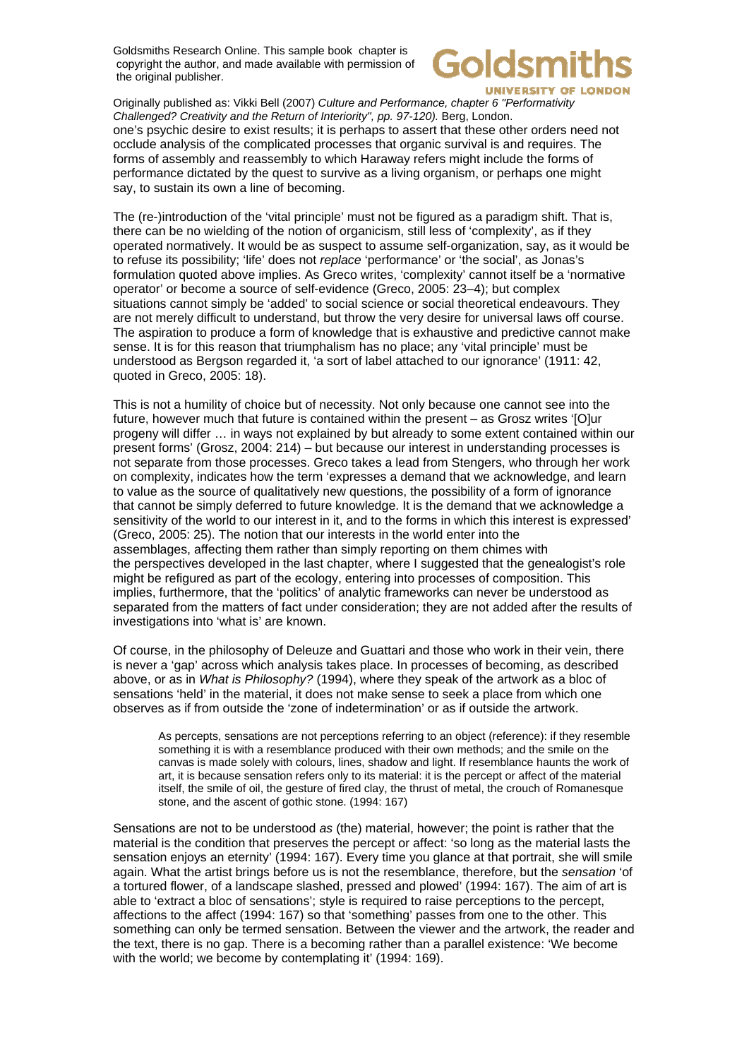

Originally published as: Vikki Bell (2007) *Culture and Performance, chapter 6 "Performativity Challenged? Creativity and the Return of Interiority", pp. 97-120).* Berg, London. one's psychic desire to exist results; it is perhaps to assert that these other orders need not occlude analysis of the complicated processes that organic survival is and requires. The forms of assembly and reassembly to which Haraway refers might include the forms of performance dictated by the quest to survive as a living organism, or perhaps one might say, to sustain its own a line of becoming.

The (re-)introduction of the 'vital principle' must not be figured as a paradigm shift. That is, there can be no wielding of the notion of organicism, still less of 'complexity', as if they operated normatively. It would be as suspect to assume self-organization, say, as it would be to refuse its possibility; 'life' does not *replace* 'performance' or 'the social', as Jonas's formulation quoted above implies. As Greco writes, 'complexity' cannot itself be a 'normative operator' or become a source of self-evidence (Greco, 2005: 23–4); but complex situations cannot simply be 'added' to social science or social theoretical endeavours. They are not merely difficult to understand, but throw the very desire for universal laws off course. The aspiration to produce a form of knowledge that is exhaustive and predictive cannot make sense. It is for this reason that triumphalism has no place; any 'vital principle' must be understood as Bergson regarded it, 'a sort of label attached to our ignorance' (1911: 42, quoted in Greco, 2005: 18).

This is not a humility of choice but of necessity. Not only because one cannot see into the future, however much that future is contained within the present – as Grosz writes '[O]ur progeny will differ … in ways not explained by but already to some extent contained within our present forms' (Grosz, 2004: 214) – but because our interest in understanding processes is not separate from those processes. Greco takes a lead from Stengers, who through her work on complexity, indicates how the term 'expresses a demand that we acknowledge, and learn to value as the source of qualitatively new questions, the possibility of a form of ignorance that cannot be simply deferred to future knowledge. It is the demand that we acknowledge a sensitivity of the world to our interest in it, and to the forms in which this interest is expressed' (Greco, 2005: 25). The notion that our interests in the world enter into the assemblages, affecting them rather than simply reporting on them chimes with the perspectives developed in the last chapter, where I suggested that the genealogist's role might be refigured as part of the ecology, entering into processes of composition. This implies, furthermore, that the 'politics' of analytic frameworks can never be understood as separated from the matters of fact under consideration; they are not added after the results of investigations into 'what is' are known.

Of course, in the philosophy of Deleuze and Guattari and those who work in their vein, there is never a 'gap' across which analysis takes place. In processes of becoming, as described above, or as in *What is Philosophy?* (1994), where they speak of the artwork as a bloc of sensations 'held' in the material, it does not make sense to seek a place from which one observes as if from outside the 'zone of indetermination' or as if outside the artwork.

As percepts, sensations are not perceptions referring to an object (reference): if they resemble something it is with a resemblance produced with their own methods; and the smile on the canvas is made solely with colours, lines, shadow and light. If resemblance haunts the work of art, it is because sensation refers only to its material: it is the percept or affect of the material itself, the smile of oil, the gesture of fired clay, the thrust of metal, the crouch of Romanesque stone, and the ascent of gothic stone. (1994: 167)

Sensations are not to be understood *as* (the) material, however; the point is rather that the material is the condition that preserves the percept or affect: 'so long as the material lasts the sensation enjoys an eternity' (1994: 167). Every time you glance at that portrait, she will smile again. What the artist brings before us is not the resemblance, therefore, but the *sensation* 'of a tortured flower, of a landscape slashed, pressed and plowed' (1994: 167). The aim of art is able to 'extract a bloc of sensations'; style is required to raise perceptions to the percept, affections to the affect (1994: 167) so that 'something' passes from one to the other. This something can only be termed sensation. Between the viewer and the artwork, the reader and the text, there is no gap. There is a becoming rather than a parallel existence: 'We become with the world; we become by contemplating it' (1994: 169).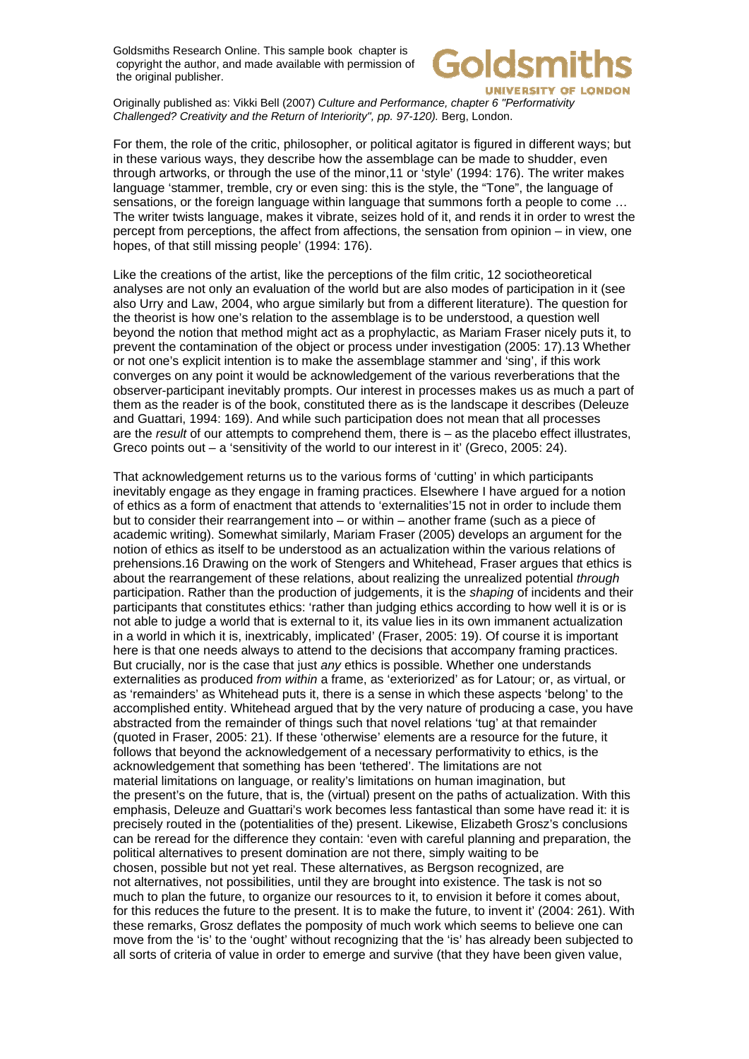

Originally published as: Vikki Bell (2007) *Culture and Performance, chapter 6 "Performativity Challenged? Creativity and the Return of Interiority", pp. 97-120).* Berg, London.

For them, the role of the critic, philosopher, or political agitator is figured in different ways; but in these various ways, they describe how the assemblage can be made to shudder, even through artworks, or through the use of the minor,11 or 'style' (1994: 176). The writer makes language 'stammer, tremble, cry or even sing: this is the style, the "Tone", the language of sensations, or the foreign language within language that summons forth a people to come … The writer twists language, makes it vibrate, seizes hold of it, and rends it in order to wrest the percept from perceptions, the affect from affections, the sensation from opinion – in view, one hopes, of that still missing people' (1994: 176).

Like the creations of the artist, like the perceptions of the film critic, 12 sociotheoretical analyses are not only an evaluation of the world but are also modes of participation in it (see also Urry and Law, 2004, who argue similarly but from a different literature). The question for the theorist is how one's relation to the assemblage is to be understood, a question well beyond the notion that method might act as a prophylactic, as Mariam Fraser nicely puts it, to prevent the contamination of the object or process under investigation (2005: 17).13 Whether or not one's explicit intention is to make the assemblage stammer and 'sing', if this work converges on any point it would be acknowledgement of the various reverberations that the observer-participant inevitably prompts. Our interest in processes makes us as much a part of them as the reader is of the book, constituted there as is the landscape it describes (Deleuze and Guattari, 1994: 169). And while such participation does not mean that all processes are the *result* of our attempts to comprehend them, there is – as the placebo effect illustrates, Greco points out – a 'sensitivity of the world to our interest in it' (Greco, 2005: 24).

That acknowledgement returns us to the various forms of 'cutting' in which participants inevitably engage as they engage in framing practices. Elsewhere I have argued for a notion of ethics as a form of enactment that attends to 'externalities'15 not in order to include them but to consider their rearrangement into  $-$  or within  $-$  another frame (such as a piece of academic writing). Somewhat similarly, Mariam Fraser (2005) develops an argument for the notion of ethics as itself to be understood as an actualization within the various relations of prehensions.16 Drawing on the work of Stengers and Whitehead, Fraser argues that ethics is about the rearrangement of these relations, about realizing the unrealized potential *through*  participation. Rather than the production of judgements, it is the *shaping* of incidents and their participants that constitutes ethics: 'rather than judging ethics according to how well it is or is not able to judge a world that is external to it, its value lies in its own immanent actualization in a world in which it is, inextricably, implicated' (Fraser, 2005: 19). Of course it is important here is that one needs always to attend to the decisions that accompany framing practices. But crucially, nor is the case that just *any* ethics is possible. Whether one understands externalities as produced *from within* a frame, as 'exteriorized' as for Latour; or, as virtual, or as 'remainders' as Whitehead puts it, there is a sense in which these aspects 'belong' to the accomplished entity. Whitehead argued that by the very nature of producing a case, you have abstracted from the remainder of things such that novel relations 'tug' at that remainder (quoted in Fraser, 2005: 21). If these 'otherwise' elements are a resource for the future, it follows that beyond the acknowledgement of a necessary performativity to ethics, is the acknowledgement that something has been 'tethered'. The limitations are not material limitations on language, or reality's limitations on human imagination, but the present's on the future, that is, the (virtual) present on the paths of actualization. With this emphasis, Deleuze and Guattari's work becomes less fantastical than some have read it: it is precisely routed in the (potentialities of the) present. Likewise, Elizabeth Grosz's conclusions can be reread for the difference they contain: 'even with careful planning and preparation, the political alternatives to present domination are not there, simply waiting to be chosen, possible but not yet real. These alternatives, as Bergson recognized, are not alternatives, not possibilities, until they are brought into existence. The task is not so much to plan the future, to organize our resources to it, to envision it before it comes about, for this reduces the future to the present. It is to make the future, to invent it' (2004: 261). With these remarks, Grosz deflates the pomposity of much work which seems to believe one can move from the 'is' to the 'ought' without recognizing that the 'is' has already been subjected to all sorts of criteria of value in order to emerge and survive (that they have been given value,